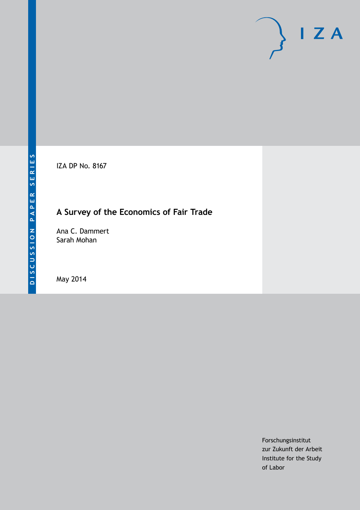IZA DP No. 8167

# **A Survey of the Economics of Fair Trade**

Ana C. Dammert Sarah Mohan

May 2014

Forschungsinstitut zur Zukunft der Arbeit Institute for the Study of Labor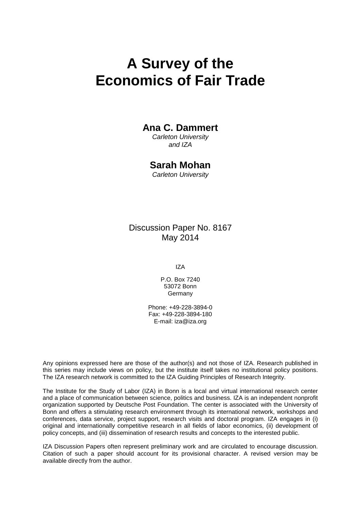# **A Survey of the Economics of Fair Trade**

## **Ana C. Dammert**

*Carleton University and IZA*

### **Sarah Mohan**

*Carleton University*

Discussion Paper No. 8167 May 2014

IZA

P.O. Box 7240 53072 Bonn Germany

Phone: +49-228-3894-0 Fax: +49-228-3894-180 E-mail: [iza@iza.org](mailto:iza@iza.org)

Any opinions expressed here are those of the author(s) and not those of IZA. Research published in this series may include views on policy, but the institute itself takes no institutional policy positions. The IZA research network is committed to the IZA Guiding Principles of Research Integrity.

The Institute for the Study of Labor (IZA) in Bonn is a local and virtual international research center and a place of communication between science, politics and business. IZA is an independent nonprofit organization supported by Deutsche Post Foundation. The center is associated with the University of Bonn and offers a stimulating research environment through its international network, workshops and conferences, data service, project support, research visits and doctoral program. IZA engages in (i) original and internationally competitive research in all fields of labor economics, (ii) development of policy concepts, and (iii) dissemination of research results and concepts to the interested public.

<span id="page-1-0"></span>IZA Discussion Papers often represent preliminary work and are circulated to encourage discussion. Citation of such a paper should account for its provisional character. A revised version may be available directly from the author.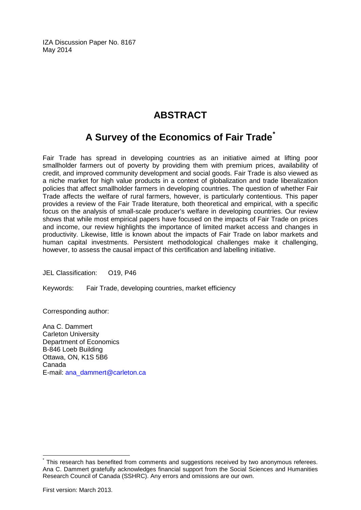IZA Discussion Paper No. 8167 May 2014

## **ABSTRACT**

# **A Survey of the Economics of Fair Trade[\\*](#page-1-0)**

Fair Trade has spread in developing countries as an initiative aimed at lifting poor smallholder farmers out of poverty by providing them with premium prices, availability of credit, and improved community development and social goods. Fair Trade is also viewed as a niche market for high value products in a context of globalization and trade liberalization policies that affect smallholder farmers in developing countries. The question of whether Fair Trade affects the welfare of rural farmers, however, is particularly contentious. This paper provides a review of the Fair Trade literature, both theoretical and empirical, with a specific focus on the analysis of small-scale producer's welfare in developing countries. Our review shows that while most empirical papers have focused on the impacts of Fair Trade on prices and income, our review highlights the importance of limited market access and changes in productivity. Likewise, little is known about the impacts of Fair Trade on labor markets and human capital investments. Persistent methodological challenges make it challenging, however, to assess the causal impact of this certification and labelling initiative.

JEL Classification: O19, P46

Keywords: Fair Trade, developing countries, market efficiency

Corresponding author:

Ana C. Dammert Carleton University Department of Economics B-846 Loeb Building Ottawa, ON, K1S 5B6 Canada E-mail: [ana\\_dammert@carleton.ca](mailto:ana_dammert@carleton.ca)

This research has benefited from comments and suggestions received by two anonymous referees. Ana C. Dammert gratefully acknowledges financial support from the Social Sciences and Humanities Research Council of Canada (SSHRC). Any errors and omissions are our own.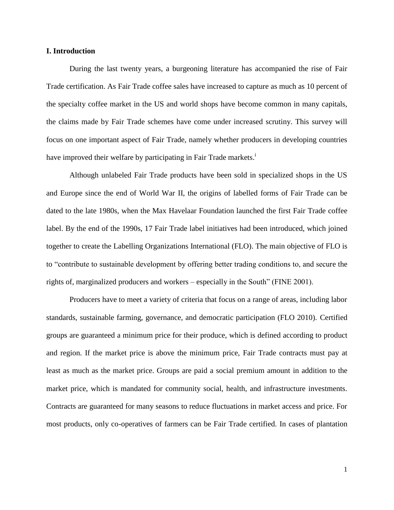#### **I. Introduction**

During the last twenty years, a burgeoning literature has accompanied the rise of Fair Trade certification. As Fair Trade coffee sales have increased to capture as much as 10 percent of the specialty coffee market in the US and world shops have become common in many capitals, the claims made by Fair Trade schemes have come under increased scrutiny. This survey will focus on one important aspect of Fair Trade, namely whether producers in developing countries have improved their welfare by participating in Fair Trade markets.<sup>i</sup>

Although unlabeled Fair Trade products have been sold in specialized shops in the US and Europe since the end of World War II, the origins of labelled forms of Fair Trade can be dated to the late 1980s, when the Max Havelaar Foundation launched the first Fair Trade coffee label. By the end of the 1990s, 17 Fair Trade label initiatives had been introduced, which joined together to create the Labelling Organizations International (FLO). The main objective of FLO is to "contribute to sustainable development by offering better trading conditions to, and secure the rights of, marginalized producers and workers – especially in the South" (FINE 2001).

Producers have to meet a variety of criteria that focus on a range of areas, including labor standards, sustainable farming, governance, and democratic participation (FLO 2010). Certified groups are guaranteed a minimum price for their produce, which is defined according to product and region. If the market price is above the minimum price, Fair Trade contracts must pay at least as much as the market price. Groups are paid a social premium amount in addition to the market price, which is mandated for community social, health, and infrastructure investments. Contracts are guaranteed for many seasons to reduce fluctuations in market access and price. For most products, only co-operatives of farmers can be Fair Trade certified. In cases of plantation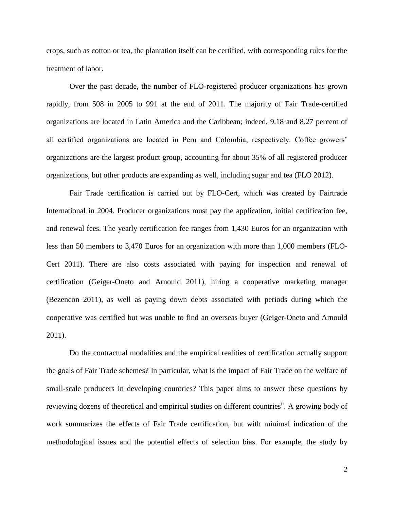crops, such as cotton or tea, the plantation itself can be certified, with corresponding rules for the treatment of labor.

Over the past decade, the number of FLO-registered producer organizations has grown rapidly, from 508 in 2005 to 991 at the end of 2011. The majority of Fair Trade-certified organizations are located in Latin America and the Caribbean; indeed, 9.18 and 8.27 percent of all certified organizations are located in Peru and Colombia, respectively. Coffee growers' organizations are the largest product group, accounting for about 35% of all registered producer organizations, but other products are expanding as well, including sugar and tea (FLO 2012).

Fair Trade certification is carried out by FLO-Cert, which was created by Fairtrade International in 2004. Producer organizations must pay the application, initial certification fee, and renewal fees. The yearly certification fee ranges from 1,430 Euros for an organization with less than 50 members to 3,470 Euros for an organization with more than 1,000 members (FLO-Cert 2011). There are also costs associated with paying for inspection and renewal of certification (Geiger-Oneto and Arnould 2011), hiring a cooperative marketing manager (Bezencon 2011), as well as paying down debts associated with periods during which the cooperative was certified but was unable to find an overseas buyer (Geiger-Oneto and Arnould 2011).

Do the contractual modalities and the empirical realities of certification actually support the goals of Fair Trade schemes? In particular, what is the impact of Fair Trade on the welfare of small-scale producers in developing countries? This paper aims to answer these questions by reviewing dozens of theoretical and empirical studies on different countries<sup>ii</sup>. A growing body of work summarizes the effects of Fair Trade certification, but with minimal indication of the methodological issues and the potential effects of selection bias. For example, the study by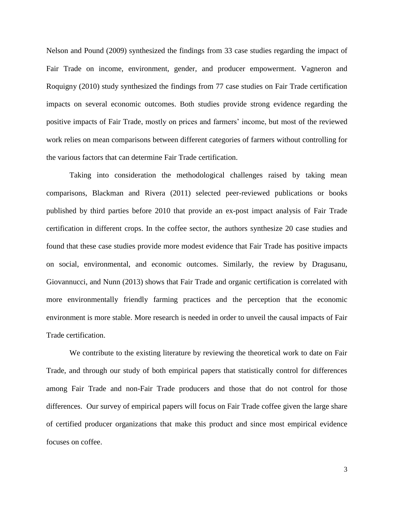Nelson and Pound (2009) synthesized the findings from 33 case studies regarding the impact of Fair Trade on income, environment, gender, and producer empowerment. Vagneron and Roquigny (2010) study synthesized the findings from 77 case studies on Fair Trade certification impacts on several economic outcomes. Both studies provide strong evidence regarding the positive impacts of Fair Trade, mostly on prices and farmers' income, but most of the reviewed work relies on mean comparisons between different categories of farmers without controlling for the various factors that can determine Fair Trade certification.

Taking into consideration the methodological challenges raised by taking mean comparisons, Blackman and Rivera (2011) selected peer-reviewed publications or books published by third parties before 2010 that provide an ex-post impact analysis of Fair Trade certification in different crops. In the coffee sector, the authors synthesize 20 case studies and found that these case studies provide more modest evidence that Fair Trade has positive impacts on social, environmental, and economic outcomes. Similarly, the review by Dragusanu, Giovannucci, and Nunn (2013) shows that Fair Trade and organic certification is correlated with more environmentally friendly farming practices and the perception that the economic environment is more stable. More research is needed in order to unveil the causal impacts of Fair Trade certification.

We contribute to the existing literature by reviewing the theoretical work to date on Fair Trade, and through our study of both empirical papers that statistically control for differences among Fair Trade and non-Fair Trade producers and those that do not control for those differences. Our survey of empirical papers will focus on Fair Trade coffee given the large share of certified producer organizations that make this product and since most empirical evidence focuses on coffee.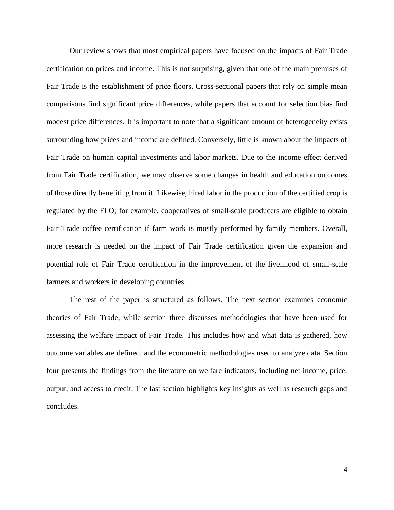Our review shows that most empirical papers have focused on the impacts of Fair Trade certification on prices and income. This is not surprising, given that one of the main premises of Fair Trade is the establishment of price floors. Cross-sectional papers that rely on simple mean comparisons find significant price differences, while papers that account for selection bias find modest price differences. It is important to note that a significant amount of heterogeneity exists surrounding how prices and income are defined. Conversely, little is known about the impacts of Fair Trade on human capital investments and labor markets. Due to the income effect derived from Fair Trade certification, we may observe some changes in health and education outcomes of those directly benefiting from it. Likewise, hired labor in the production of the certified crop is regulated by the FLO; for example, cooperatives of small-scale producers are eligible to obtain Fair Trade coffee certification if farm work is mostly performed by family members. Overall, more research is needed on the impact of Fair Trade certification given the expansion and potential role of Fair Trade certification in the improvement of the livelihood of small-scale farmers and workers in developing countries.

The rest of the paper is structured as follows. The next section examines economic theories of Fair Trade, while section three discusses methodologies that have been used for assessing the welfare impact of Fair Trade. This includes how and what data is gathered, how outcome variables are defined, and the econometric methodologies used to analyze data. Section four presents the findings from the literature on welfare indicators, including net income, price, output, and access to credit. The last section highlights key insights as well as research gaps and concludes.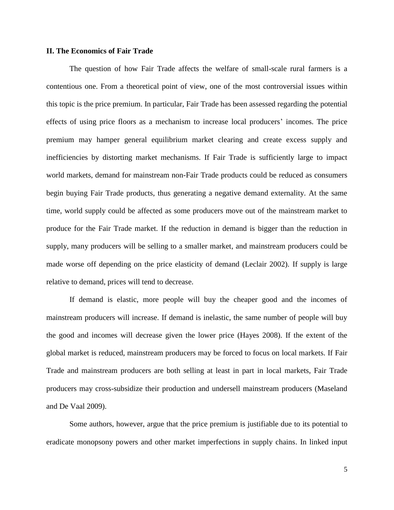#### **II. The Economics of Fair Trade**

The question of how Fair Trade affects the welfare of small-scale rural farmers is a contentious one. From a theoretical point of view, one of the most controversial issues within this topic is the price premium. In particular, Fair Trade has been assessed regarding the potential effects of using price floors as a mechanism to increase local producers' incomes. The price premium may hamper general equilibrium market clearing and create excess supply and inefficiencies by distorting market mechanisms. If Fair Trade is sufficiently large to impact world markets, demand for mainstream non-Fair Trade products could be reduced as consumers begin buying Fair Trade products, thus generating a negative demand externality. At the same time, world supply could be affected as some producers move out of the mainstream market to produce for the Fair Trade market. If the reduction in demand is bigger than the reduction in supply, many producers will be selling to a smaller market, and mainstream producers could be made worse off depending on the price elasticity of demand (Leclair 2002). If supply is large relative to demand, prices will tend to decrease.

If demand is elastic, more people will buy the cheaper good and the incomes of mainstream producers will increase. If demand is inelastic, the same number of people will buy the good and incomes will decrease given the lower price (Hayes 2008). If the extent of the global market is reduced, mainstream producers may be forced to focus on local markets. If Fair Trade and mainstream producers are both selling at least in part in local markets, Fair Trade producers may cross-subsidize their production and undersell mainstream producers (Maseland and De Vaal 2009).

Some authors, however, argue that the price premium is justifiable due to its potential to eradicate monopsony powers and other market imperfections in supply chains. In linked input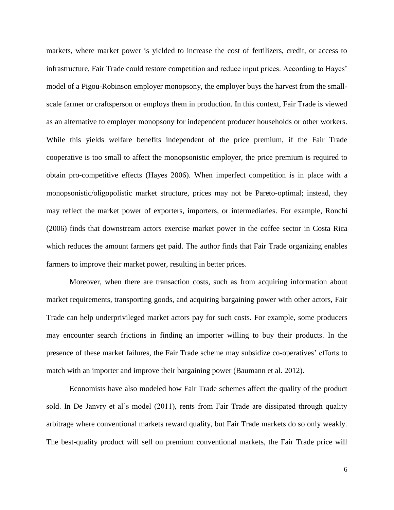markets, where market power is yielded to increase the cost of fertilizers, credit, or access to infrastructure, Fair Trade could restore competition and reduce input prices. According to Hayes' model of a Pigou-Robinson employer monopsony, the employer buys the harvest from the smallscale farmer or craftsperson or employs them in production. In this context, Fair Trade is viewed as an alternative to employer monopsony for independent producer households or other workers. While this yields welfare benefits independent of the price premium, if the Fair Trade cooperative is too small to affect the monopsonistic employer, the price premium is required to obtain pro-competitive effects (Hayes 2006). When imperfect competition is in place with a monopsonistic/oligopolistic market structure, prices may not be Pareto-optimal; instead, they may reflect the market power of exporters, importers, or intermediaries. For example, Ronchi (2006) finds that downstream actors exercise market power in the coffee sector in Costa Rica which reduces the amount farmers get paid. The author finds that Fair Trade organizing enables farmers to improve their market power, resulting in better prices.

Moreover, when there are transaction costs, such as from acquiring information about market requirements, transporting goods, and acquiring bargaining power with other actors, Fair Trade can help underprivileged market actors pay for such costs. For example, some producers may encounter search frictions in finding an importer willing to buy their products. In the presence of these market failures, the Fair Trade scheme may subsidize co-operatives' efforts to match with an importer and improve their bargaining power (Baumann et al. 2012).

Economists have also modeled how Fair Trade schemes affect the quality of the product sold. In De Janvry et al's model (2011), rents from Fair Trade are dissipated through quality arbitrage where conventional markets reward quality, but Fair Trade markets do so only weakly. The best-quality product will sell on premium conventional markets, the Fair Trade price will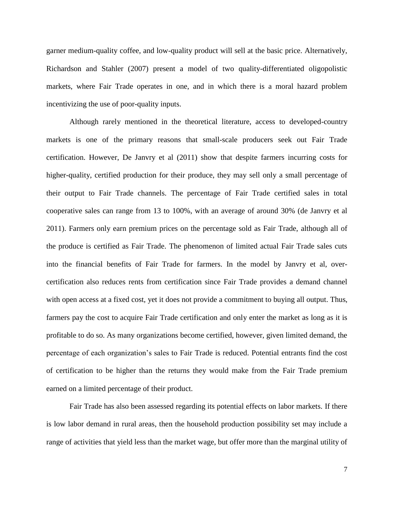garner medium-quality coffee, and low-quality product will sell at the basic price. Alternatively, Richardson and Stahler (2007) present a model of two quality-differentiated oligopolistic markets, where Fair Trade operates in one, and in which there is a moral hazard problem incentivizing the use of poor-quality inputs.

Although rarely mentioned in the theoretical literature, access to developed-country markets is one of the primary reasons that small-scale producers seek out Fair Trade certification. However, De Janvry et al (2011) show that despite farmers incurring costs for higher-quality, certified production for their produce, they may sell only a small percentage of their output to Fair Trade channels. The percentage of Fair Trade certified sales in total cooperative sales can range from 13 to 100%, with an average of around 30% (de Janvry et al 2011). Farmers only earn premium prices on the percentage sold as Fair Trade, although all of the produce is certified as Fair Trade. The phenomenon of limited actual Fair Trade sales cuts into the financial benefits of Fair Trade for farmers. In the model by Janvry et al, overcertification also reduces rents from certification since Fair Trade provides a demand channel with open access at a fixed cost, yet it does not provide a commitment to buying all output. Thus, farmers pay the cost to acquire Fair Trade certification and only enter the market as long as it is profitable to do so. As many organizations become certified, however, given limited demand, the percentage of each organization's sales to Fair Trade is reduced. Potential entrants find the cost of certification to be higher than the returns they would make from the Fair Trade premium earned on a limited percentage of their product.

Fair Trade has also been assessed regarding its potential effects on labor markets. If there is low labor demand in rural areas, then the household production possibility set may include a range of activities that yield less than the market wage, but offer more than the marginal utility of

7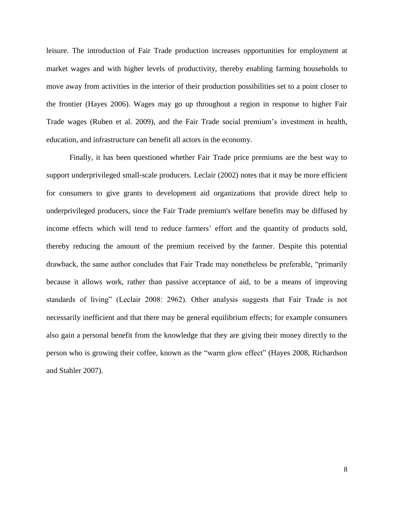leisure. The introduction of Fair Trade production increases opportunities for employment at market wages and with higher levels of productivity, thereby enabling farming households to move away from activities in the interior of their production possibilities set to a point closer to the frontier (Hayes 2006). Wages may go up throughout a region in response to higher Fair Trade wages (Ruben et al. 2009), and the Fair Trade social premium's investment in health, education, and infrastructure can benefit all actors in the economy.

Finally, it has been questioned whether Fair Trade price premiums are the best way to support underprivileged small-scale producers. Leclair (2002) notes that it may be more efficient for consumers to give grants to development aid organizations that provide direct help to underprivileged producers, since the Fair Trade premium's welfare benefits may be diffused by income effects which will tend to reduce farmers' effort and the quantity of products sold, thereby reducing the amount of the premium received by the farmer. Despite this potential drawback, the same author concludes that Fair Trade may nonetheless be preferable, "primarily because it allows work, rather than passive acceptance of aid, to be a means of improving standards of living" (Leclair 2008: 2962). Other analysis suggests that Fair Trade is not necessarily inefficient and that there may be general equilibrium effects; for example consumers also gain a personal benefit from the knowledge that they are giving their money directly to the person who is growing their coffee, known as the "warm glow effect" (Hayes 2008, Richardson and Stahler 2007).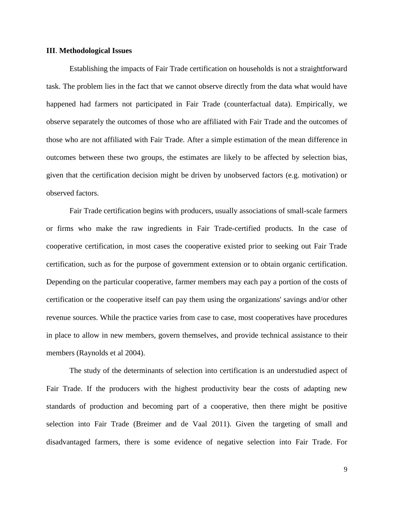#### **III**. **Methodological Issues**

Establishing the impacts of Fair Trade certification on households is not a straightforward task. The problem lies in the fact that we cannot observe directly from the data what would have happened had farmers not participated in Fair Trade (counterfactual data). Empirically, we observe separately the outcomes of those who are affiliated with Fair Trade and the outcomes of those who are not affiliated with Fair Trade. After a simple estimation of the mean difference in outcomes between these two groups, the estimates are likely to be affected by selection bias, given that the certification decision might be driven by unobserved factors (e.g. motivation) or observed factors.

Fair Trade certification begins with producers, usually associations of small-scale farmers or firms who make the raw ingredients in Fair Trade-certified products. In the case of cooperative certification, in most cases the cooperative existed prior to seeking out Fair Trade certification, such as for the purpose of government extension or to obtain organic certification. Depending on the particular cooperative, farmer members may each pay a portion of the costs of certification or the cooperative itself can pay them using the organizations' savings and/or other revenue sources. While the practice varies from case to case, most cooperatives have procedures in place to allow in new members, govern themselves, and provide technical assistance to their members (Raynolds et al 2004).

The study of the determinants of selection into certification is an understudied aspect of Fair Trade. If the producers with the highest productivity bear the costs of adapting new standards of production and becoming part of a cooperative, then there might be positive selection into Fair Trade (Breimer and de Vaal 2011). Given the targeting of small and disadvantaged farmers, there is some evidence of negative selection into Fair Trade. For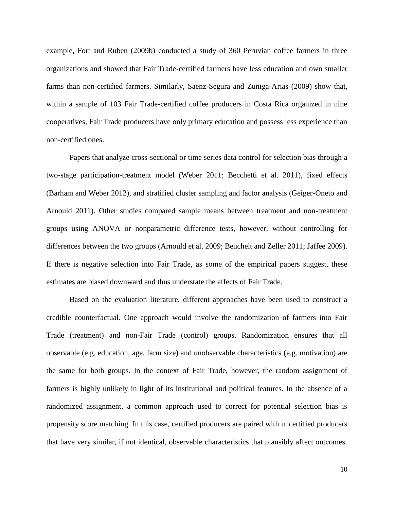example, Fort and Ruben (2009b) conducted a study of 360 Peruvian coffee farmers in three organizations and showed that Fair Trade-certified farmers have less education and own smaller farms than non-certified farmers. Similarly, Saenz-Segura and Zuniga-Arias (2009) show that, within a sample of 103 Fair Trade-certified coffee producers in Costa Rica organized in nine cooperatives, Fair Trade producers have only primary education and possess less experience than non-certified ones.

Papers that analyze cross-sectional or time series data control for selection bias through a two-stage participation-treatment model (Weber 2011; Becchetti et al. 2011), fixed effects (Barham and Weber 2012), and stratified cluster sampling and factor analysis (Geiger-Oneto and Arnould 2011). Other studies compared sample means between treatment and non-treatment groups using ANOVA or nonparametric difference tests, however, without controlling for differences between the two groups (Arnould et al. 2009; Beuchelt and Zeller 2011; Jaffee 2009). If there is negative selection into Fair Trade, as some of the empirical papers suggest, these estimates are biased downward and thus understate the effects of Fair Trade.

Based on the evaluation literature, different approaches have been used to construct a credible counterfactual. One approach would involve the randomization of farmers into Fair Trade (treatment) and non-Fair Trade (control) groups. Randomization ensures that all observable (e.g. education, age, farm size) and unobservable characteristics (e.g. motivation) are the same for both groups. In the context of Fair Trade, however, the random assignment of farmers is highly unlikely in light of its institutional and political features. In the absence of a randomized assignment, a common approach used to correct for potential selection bias is propensity score matching. In this case, certified producers are paired with uncertified producers that have very similar, if not identical, observable characteristics that plausibly affect outcomes.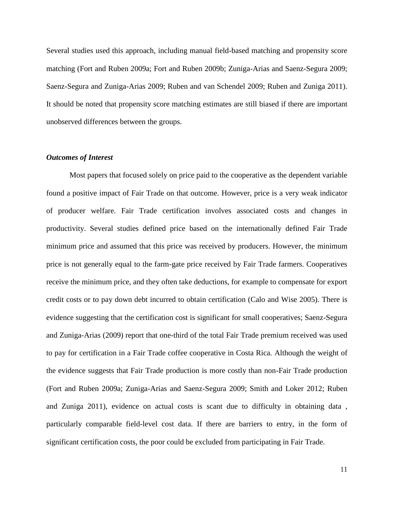Several studies used this approach, including manual field-based matching and propensity score matching (Fort and Ruben 2009a; Fort and Ruben 2009b; Zuniga-Arias and Saenz-Segura 2009; Saenz-Segura and Zuniga-Arias 2009; Ruben and van Schendel 2009; Ruben and Zuniga 2011). It should be noted that propensity score matching estimates are still biased if there are important unobserved differences between the groups.

#### *Outcomes of Interest*

Most papers that focused solely on price paid to the cooperative as the dependent variable found a positive impact of Fair Trade on that outcome. However, price is a very weak indicator of producer welfare. Fair Trade certification involves associated costs and changes in productivity. Several studies defined price based on the internationally defined Fair Trade minimum price and assumed that this price was received by producers. However, the minimum price is not generally equal to the farm-gate price received by Fair Trade farmers. Cooperatives receive the minimum price, and they often take deductions, for example to compensate for export credit costs or to pay down debt incurred to obtain certification (Calo and Wise 2005). There is evidence suggesting that the certification cost is significant for small cooperatives; Saenz-Segura and Zuniga-Arias (2009) report that one-third of the total Fair Trade premium received was used to pay for certification in a Fair Trade coffee cooperative in Costa Rica. Although the weight of the evidence suggests that Fair Trade production is more costly than non-Fair Trade production (Fort and Ruben 2009a; Zuniga-Arias and Saenz-Segura 2009; Smith and Loker 2012; Ruben and Zuniga 2011), evidence on actual costs is scant due to difficulty in obtaining data , particularly comparable field-level cost data. If there are barriers to entry, in the form of significant certification costs, the poor could be excluded from participating in Fair Trade.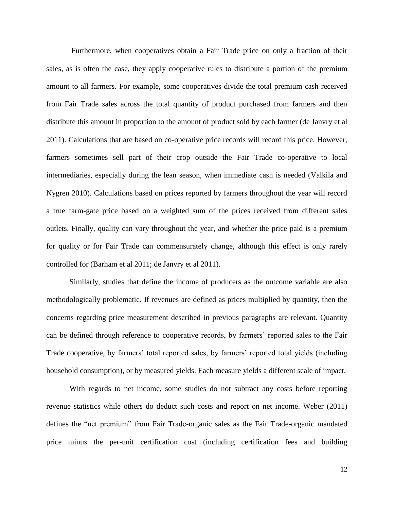Furthermore, when cooperatives obtain a Fair Trade price on only a fraction of their sales, as is often the case, they apply cooperative rules to distribute a portion of the premium amount to all farmers. For example, some cooperatives divide the total premium cash received from Fair Trade sales across the total quantity of product purchased from farmers and then distribute this amount in proportion to the amount of product sold by each farmer (de Janvry et al 2011). Calculations that are based on co-operative price records will record this price. However, farmers sometimes sell part of their crop outside the Fair Trade co-operative to local intermediaries, especially during the lean season, when immediate cash is needed (Valkila and Nygren 2010). Calculations based on prices reported by farmers throughout the year will record a true farm-gate price based on a weighted sum of the prices received from different sales outlets. Finally, quality can vary throughout the year, and whether the price paid is a premium for quality or for Fair Trade can commensurately change, although this effect is only rarely controlled for (Barham et al 2011; de Janvry et al 2011).

Similarly, studies that define the income of producers as the outcome variable are also methodologically problematic. If revenues are defined as prices multiplied by quantity, then the concerns regarding price measurement described in previous paragraphs are relevant. Quantity can be defined through reference to cooperative records, by farmers' reported sales to the Fair Trade cooperative, by farmers' total reported sales, by farmers' reported total yields (including household consumption), or by measured yields. Each measure yields a different scale of impact.

With regards to net income, some studies do not subtract any costs before reporting revenue statistics while others do deduct such costs and report on net income. Weber (2011) defines the "net premium" from Fair Trade-organic sales as the Fair Trade-organic mandated price minus the per-unit certification cost (including certification fees and building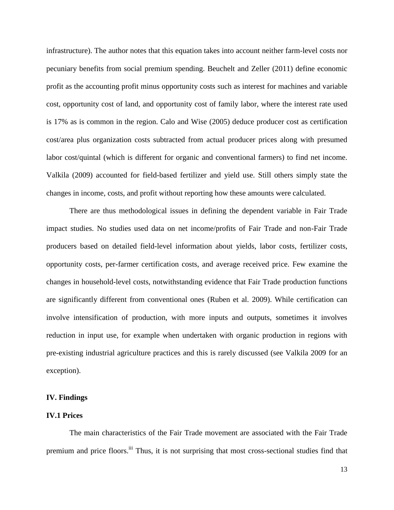infrastructure). The author notes that this equation takes into account neither farm-level costs nor pecuniary benefits from social premium spending. Beuchelt and Zeller (2011) define economic profit as the accounting profit minus opportunity costs such as interest for machines and variable cost, opportunity cost of land, and opportunity cost of family labor, where the interest rate used is 17% as is common in the region. Calo and Wise (2005) deduce producer cost as certification cost/area plus organization costs subtracted from actual producer prices along with presumed labor cost/quintal (which is different for organic and conventional farmers) to find net income. Valkila (2009) accounted for field-based fertilizer and yield use. Still others simply state the changes in income, costs, and profit without reporting how these amounts were calculated.

There are thus methodological issues in defining the dependent variable in Fair Trade impact studies. No studies used data on net income/profits of Fair Trade and non-Fair Trade producers based on detailed field-level information about yields, labor costs, fertilizer costs, opportunity costs, per-farmer certification costs, and average received price. Few examine the changes in household-level costs, notwithstanding evidence that Fair Trade production functions are significantly different from conventional ones (Ruben et al. 2009). While certification can involve intensification of production, with more inputs and outputs, sometimes it involves reduction in input use, for example when undertaken with organic production in regions with pre-existing industrial agriculture practices and this is rarely discussed (see Valkila 2009 for an exception).

#### **IV. Findings**

#### **IV.1 Prices**

The main characteristics of the Fair Trade movement are associated with the Fair Trade premium and price floors.<sup>iii</sup> Thus, it is not surprising that most cross-sectional studies find that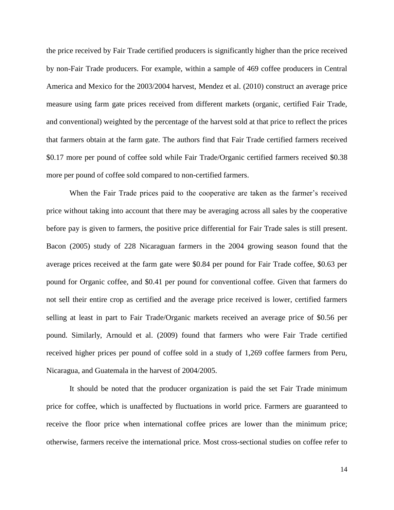the price received by Fair Trade certified producers is significantly higher than the price received by non-Fair Trade producers. For example, within a sample of 469 coffee producers in Central America and Mexico for the 2003/2004 harvest, Mendez et al. (2010) construct an average price measure using farm gate prices received from different markets (organic, certified Fair Trade, and conventional) weighted by the percentage of the harvest sold at that price to reflect the prices that farmers obtain at the farm gate. The authors find that Fair Trade certified farmers received \$0.17 more per pound of coffee sold while Fair Trade/Organic certified farmers received \$0.38 more per pound of coffee sold compared to non-certified farmers.

When the Fair Trade prices paid to the cooperative are taken as the farmer's received price without taking into account that there may be averaging across all sales by the cooperative before pay is given to farmers, the positive price differential for Fair Trade sales is still present. Bacon (2005) study of 228 Nicaraguan farmers in the 2004 growing season found that the average prices received at the farm gate were \$0.84 per pound for Fair Trade coffee, \$0.63 per pound for Organic coffee, and \$0.41 per pound for conventional coffee. Given that farmers do not sell their entire crop as certified and the average price received is lower, certified farmers selling at least in part to Fair Trade/Organic markets received an average price of \$0.56 per pound. Similarly, Arnould et al. (2009) found that farmers who were Fair Trade certified received higher prices per pound of coffee sold in a study of 1,269 coffee farmers from Peru, Nicaragua, and Guatemala in the harvest of 2004/2005.

It should be noted that the producer organization is paid the set Fair Trade minimum price for coffee, which is unaffected by fluctuations in world price. Farmers are guaranteed to receive the floor price when international coffee prices are lower than the minimum price; otherwise, farmers receive the international price. Most cross-sectional studies on coffee refer to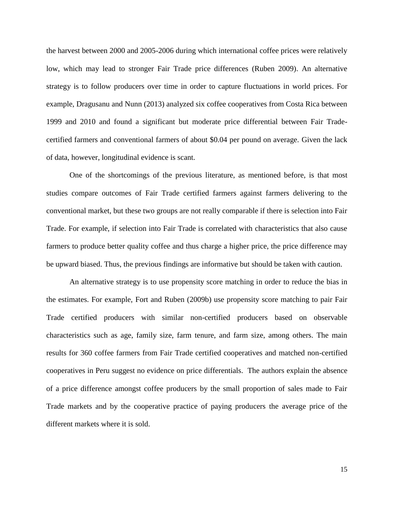the harvest between 2000 and 2005-2006 during which international coffee prices were relatively low, which may lead to stronger Fair Trade price differences (Ruben 2009). An alternative strategy is to follow producers over time in order to capture fluctuations in world prices. For example, Dragusanu and Nunn (2013) analyzed six coffee cooperatives from Costa Rica between 1999 and 2010 and found a significant but moderate price differential between Fair Tradecertified farmers and conventional farmers of about \$0.04 per pound on average. Given the lack of data, however, longitudinal evidence is scant.

One of the shortcomings of the previous literature, as mentioned before, is that most studies compare outcomes of Fair Trade certified farmers against farmers delivering to the conventional market, but these two groups are not really comparable if there is selection into Fair Trade. For example, if selection into Fair Trade is correlated with characteristics that also cause farmers to produce better quality coffee and thus charge a higher price, the price difference may be upward biased. Thus, the previous findings are informative but should be taken with caution.

An alternative strategy is to use propensity score matching in order to reduce the bias in the estimates. For example, Fort and Ruben (2009b) use propensity score matching to pair Fair Trade certified producers with similar non-certified producers based on observable characteristics such as age, family size, farm tenure, and farm size, among others. The main results for 360 coffee farmers from Fair Trade certified cooperatives and matched non-certified cooperatives in Peru suggest no evidence on price differentials. The authors explain the absence of a price difference amongst coffee producers by the small proportion of sales made to Fair Trade markets and by the cooperative practice of paying producers the average price of the different markets where it is sold.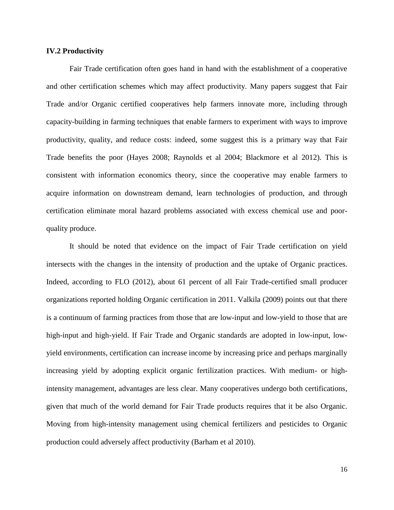#### **IV.2 Productivity**

Fair Trade certification often goes hand in hand with the establishment of a cooperative and other certification schemes which may affect productivity. Many papers suggest that Fair Trade and/or Organic certified cooperatives help farmers innovate more, including through capacity-building in farming techniques that enable farmers to experiment with ways to improve productivity, quality, and reduce costs: indeed, some suggest this is a primary way that Fair Trade benefits the poor (Hayes 2008; Raynolds et al 2004; Blackmore et al 2012). This is consistent with information economics theory, since the cooperative may enable farmers to acquire information on downstream demand, learn technologies of production, and through certification eliminate moral hazard problems associated with excess chemical use and poorquality produce.

It should be noted that evidence on the impact of Fair Trade certification on yield intersects with the changes in the intensity of production and the uptake of Organic practices. Indeed, according to FLO (2012), about 61 percent of all Fair Trade-certified small producer organizations reported holding Organic certification in 2011. Valkila (2009) points out that there is a continuum of farming practices from those that are low-input and low-yield to those that are high-input and high-yield. If Fair Trade and Organic standards are adopted in low-input, lowyield environments, certification can increase income by increasing price and perhaps marginally increasing yield by adopting explicit organic fertilization practices. With medium- or highintensity management, advantages are less clear. Many cooperatives undergo both certifications, given that much of the world demand for Fair Trade products requires that it be also Organic. Moving from high-intensity management using chemical fertilizers and pesticides to Organic production could adversely affect productivity (Barham et al 2010).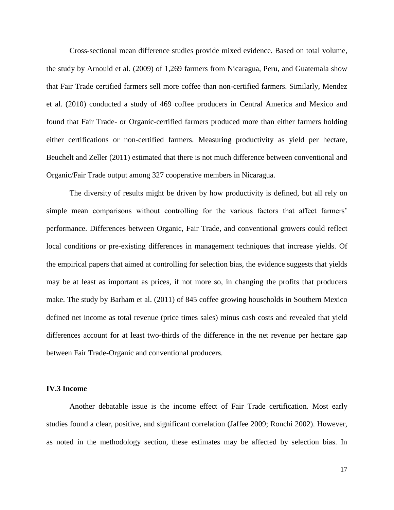Cross-sectional mean difference studies provide mixed evidence. Based on total volume, the study by Arnould et al. (2009) of 1,269 farmers from Nicaragua, Peru, and Guatemala show that Fair Trade certified farmers sell more coffee than non-certified farmers. Similarly, Mendez et al. (2010) conducted a study of 469 coffee producers in Central America and Mexico and found that Fair Trade- or Organic-certified farmers produced more than either farmers holding either certifications or non-certified farmers. Measuring productivity as yield per hectare, Beuchelt and Zeller (2011) estimated that there is not much difference between conventional and Organic/Fair Trade output among 327 cooperative members in Nicaragua.

The diversity of results might be driven by how productivity is defined, but all rely on simple mean comparisons without controlling for the various factors that affect farmers' performance. Differences between Organic, Fair Trade, and conventional growers could reflect local conditions or pre-existing differences in management techniques that increase yields. Of the empirical papers that aimed at controlling for selection bias, the evidence suggests that yields may be at least as important as prices, if not more so, in changing the profits that producers make. The study by Barham et al. (2011) of 845 coffee growing households in Southern Mexico defined net income as total revenue (price times sales) minus cash costs and revealed that yield differences account for at least two-thirds of the difference in the net revenue per hectare gap between Fair Trade-Organic and conventional producers.

#### **IV.3 Income**

Another debatable issue is the income effect of Fair Trade certification. Most early studies found a clear, positive, and significant correlation (Jaffee 2009; Ronchi 2002). However, as noted in the methodology section, these estimates may be affected by selection bias. In

17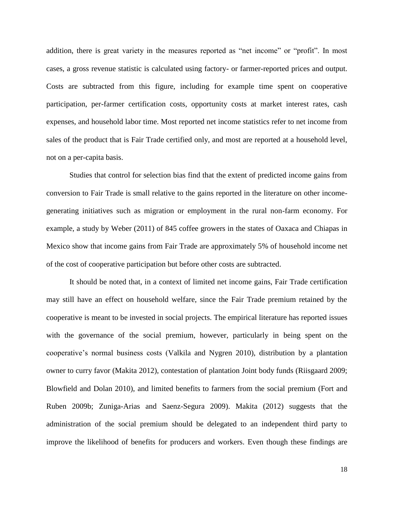addition, there is great variety in the measures reported as "net income" or "profit". In most cases, a gross revenue statistic is calculated using factory- or farmer-reported prices and output. Costs are subtracted from this figure, including for example time spent on cooperative participation, per-farmer certification costs, opportunity costs at market interest rates, cash expenses, and household labor time. Most reported net income statistics refer to net income from sales of the product that is Fair Trade certified only, and most are reported at a household level, not on a per-capita basis.

Studies that control for selection bias find that the extent of predicted income gains from conversion to Fair Trade is small relative to the gains reported in the literature on other incomegenerating initiatives such as migration or employment in the rural non-farm economy. For example, a study by Weber (2011) of 845 coffee growers in the states of Oaxaca and Chiapas in Mexico show that income gains from Fair Trade are approximately 5% of household income net of the cost of cooperative participation but before other costs are subtracted.

It should be noted that, in a context of limited net income gains, Fair Trade certification may still have an effect on household welfare, since the Fair Trade premium retained by the cooperative is meant to be invested in social projects. The empirical literature has reported issues with the governance of the social premium, however, particularly in being spent on the cooperative's normal business costs (Valkila and Nygren 2010), distribution by a plantation owner to curry favor (Makita 2012), contestation of plantation Joint body funds (Riisgaard 2009; Blowfield and Dolan 2010), and limited benefits to farmers from the social premium (Fort and Ruben 2009b; Zuniga-Arias and Saenz-Segura 2009). Makita (2012) suggests that the administration of the social premium should be delegated to an independent third party to improve the likelihood of benefits for producers and workers. Even though these findings are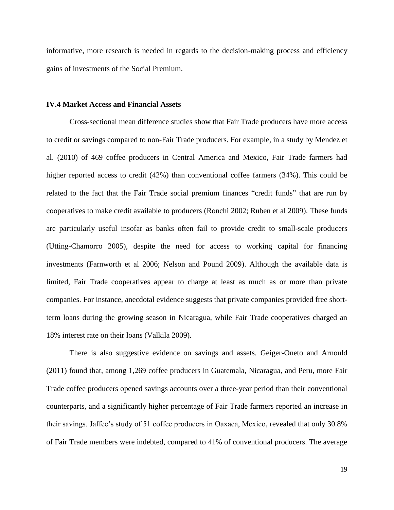informative, more research is needed in regards to the decision-making process and efficiency gains of investments of the Social Premium.

#### **IV.4 Market Access and Financial Assets**

Cross-sectional mean difference studies show that Fair Trade producers have more access to credit or savings compared to non-Fair Trade producers. For example, in a study by Mendez et al. (2010) of 469 coffee producers in Central America and Mexico, Fair Trade farmers had higher reported access to credit (42%) than conventional coffee farmers (34%). This could be related to the fact that the Fair Trade social premium finances "credit funds" that are run by cooperatives to make credit available to producers (Ronchi 2002; Ruben et al 2009). These funds are particularly useful insofar as banks often fail to provide credit to small-scale producers (Utting-Chamorro 2005), despite the need for access to working capital for financing investments (Farnworth et al 2006; Nelson and Pound 2009). Although the available data is limited, Fair Trade cooperatives appear to charge at least as much as or more than private companies. For instance, anecdotal evidence suggests that private companies provided free shortterm loans during the growing season in Nicaragua, while Fair Trade cooperatives charged an 18% interest rate on their loans (Valkila 2009).

There is also suggestive evidence on savings and assets. Geiger-Oneto and Arnould (2011) found that, among 1,269 coffee producers in Guatemala, Nicaragua, and Peru, more Fair Trade coffee producers opened savings accounts over a three-year period than their conventional counterparts, and a significantly higher percentage of Fair Trade farmers reported an increase in their savings. Jaffee's study of 51 coffee producers in Oaxaca, Mexico, revealed that only 30.8% of Fair Trade members were indebted, compared to 41% of conventional producers. The average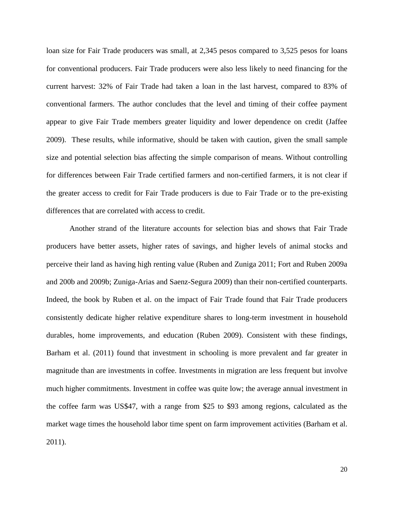loan size for Fair Trade producers was small, at 2,345 pesos compared to 3,525 pesos for loans for conventional producers. Fair Trade producers were also less likely to need financing for the current harvest: 32% of Fair Trade had taken a loan in the last harvest, compared to 83% of conventional farmers. The author concludes that the level and timing of their coffee payment appear to give Fair Trade members greater liquidity and lower dependence on credit (Jaffee 2009). These results, while informative, should be taken with caution, given the small sample size and potential selection bias affecting the simple comparison of means. Without controlling for differences between Fair Trade certified farmers and non-certified farmers, it is not clear if the greater access to credit for Fair Trade producers is due to Fair Trade or to the pre-existing differences that are correlated with access to credit.

Another strand of the literature accounts for selection bias and shows that Fair Trade producers have better assets, higher rates of savings, and higher levels of animal stocks and perceive their land as having high renting value (Ruben and Zuniga 2011; Fort and Ruben 2009a and 200b and 2009b; Zuniga-Arias and Saenz-Segura 2009) than their non-certified counterparts. Indeed, the book by Ruben et al. on the impact of Fair Trade found that Fair Trade producers consistently dedicate higher relative expenditure shares to long-term investment in household durables, home improvements, and education (Ruben 2009). Consistent with these findings, Barham et al. (2011) found that investment in schooling is more prevalent and far greater in magnitude than are investments in coffee. Investments in migration are less frequent but involve much higher commitments. Investment in coffee was quite low; the average annual investment in the coffee farm was US\$47, with a range from \$25 to \$93 among regions, calculated as the market wage times the household labor time spent on farm improvement activities (Barham et al. 2011).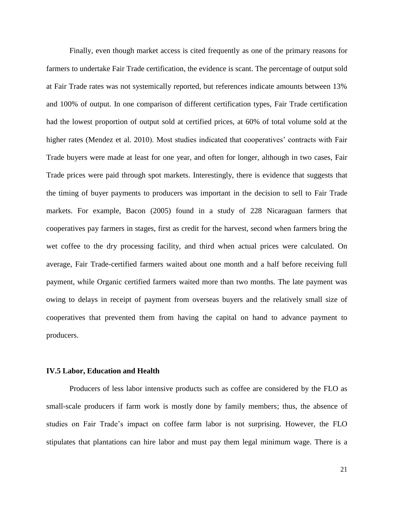Finally, even though market access is cited frequently as one of the primary reasons for farmers to undertake Fair Trade certification, the evidence is scant. The percentage of output sold at Fair Trade rates was not systemically reported, but references indicate amounts between 13% and 100% of output. In one comparison of different certification types, Fair Trade certification had the lowest proportion of output sold at certified prices, at 60% of total volume sold at the higher rates (Mendez et al. 2010). Most studies indicated that cooperatives' contracts with Fair Trade buyers were made at least for one year, and often for longer, although in two cases, Fair Trade prices were paid through spot markets. Interestingly, there is evidence that suggests that the timing of buyer payments to producers was important in the decision to sell to Fair Trade markets. For example, Bacon (2005) found in a study of 228 Nicaraguan farmers that cooperatives pay farmers in stages, first as credit for the harvest, second when farmers bring the wet coffee to the dry processing facility, and third when actual prices were calculated. On average, Fair Trade-certified farmers waited about one month and a half before receiving full payment, while Organic certified farmers waited more than two months. The late payment was owing to delays in receipt of payment from overseas buyers and the relatively small size of cooperatives that prevented them from having the capital on hand to advance payment to producers.

#### **IV.5 Labor, Education and Health**

Producers of less labor intensive products such as coffee are considered by the FLO as small-scale producers if farm work is mostly done by family members; thus, the absence of studies on Fair Trade's impact on coffee farm labor is not surprising. However, the FLO stipulates that plantations can hire labor and must pay them legal minimum wage. There is a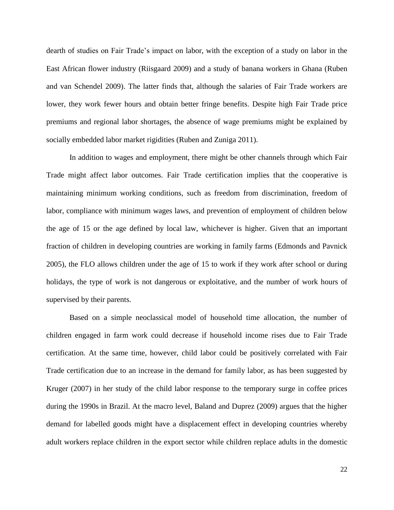dearth of studies on Fair Trade's impact on labor, with the exception of a study on labor in the East African flower industry (Riisgaard 2009) and a study of banana workers in Ghana (Ruben and van Schendel 2009). The latter finds that, although the salaries of Fair Trade workers are lower, they work fewer hours and obtain better fringe benefits. Despite high Fair Trade price premiums and regional labor shortages, the absence of wage premiums might be explained by socially embedded labor market rigidities (Ruben and Zuniga 2011).

In addition to wages and employment, there might be other channels through which Fair Trade might affect labor outcomes. Fair Trade certification implies that the cooperative is maintaining minimum working conditions, such as freedom from discrimination, freedom of labor, compliance with minimum wages laws, and prevention of employment of children below the age of 15 or the age defined by local law, whichever is higher. Given that an important fraction of children in developing countries are working in family farms (Edmonds and Pavnick 2005), the FLO allows children under the age of 15 to work if they work after school or during holidays, the type of work is not dangerous or exploitative, and the number of work hours of supervised by their parents.

Based on a simple neoclassical model of household time allocation, the number of children engaged in farm work could decrease if household income rises due to Fair Trade certification. At the same time, however, child labor could be positively correlated with Fair Trade certification due to an increase in the demand for family labor, as has been suggested by Kruger (2007) in her study of the child labor response to the temporary surge in coffee prices during the 1990s in Brazil. At the macro level, Baland and Duprez (2009) argues that the higher demand for labelled goods might have a displacement effect in developing countries whereby adult workers replace children in the export sector while children replace adults in the domestic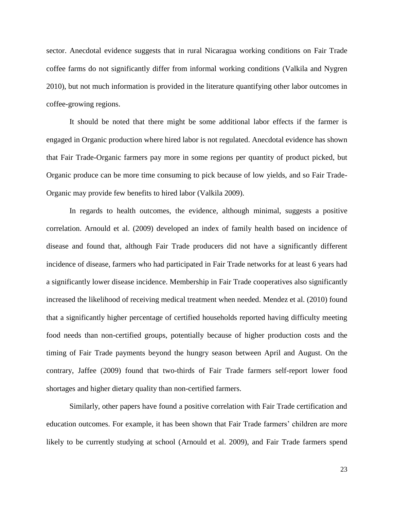sector. Anecdotal evidence suggests that in rural Nicaragua working conditions on Fair Trade coffee farms do not significantly differ from informal working conditions (Valkila and Nygren 2010), but not much information is provided in the literature quantifying other labor outcomes in coffee-growing regions.

It should be noted that there might be some additional labor effects if the farmer is engaged in Organic production where hired labor is not regulated. Anecdotal evidence has shown that Fair Trade-Organic farmers pay more in some regions per quantity of product picked, but Organic produce can be more time consuming to pick because of low yields, and so Fair Trade-Organic may provide few benefits to hired labor (Valkila 2009).

In regards to health outcomes, the evidence, although minimal, suggests a positive correlation. Arnould et al. (2009) developed an index of family health based on incidence of disease and found that, although Fair Trade producers did not have a significantly different incidence of disease, farmers who had participated in Fair Trade networks for at least 6 years had a significantly lower disease incidence. Membership in Fair Trade cooperatives also significantly increased the likelihood of receiving medical treatment when needed. Mendez et al. (2010) found that a significantly higher percentage of certified households reported having difficulty meeting food needs than non-certified groups, potentially because of higher production costs and the timing of Fair Trade payments beyond the hungry season between April and August. On the contrary, Jaffee (2009) found that two-thirds of Fair Trade farmers self-report lower food shortages and higher dietary quality than non-certified farmers.

Similarly, other papers have found a positive correlation with Fair Trade certification and education outcomes. For example, it has been shown that Fair Trade farmers' children are more likely to be currently studying at school (Arnould et al. 2009), and Fair Trade farmers spend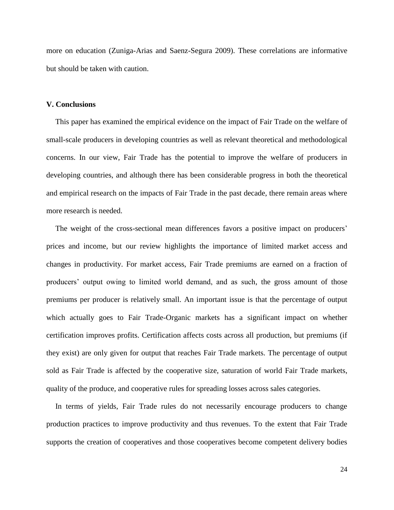more on education (Zuniga-Arias and Saenz-Segura 2009). These correlations are informative but should be taken with caution.

#### **V. Conclusions**

This paper has examined the empirical evidence on the impact of Fair Trade on the welfare of small-scale producers in developing countries as well as relevant theoretical and methodological concerns. In our view, Fair Trade has the potential to improve the welfare of producers in developing countries, and although there has been considerable progress in both the theoretical and empirical research on the impacts of Fair Trade in the past decade, there remain areas where more research is needed.

The weight of the cross-sectional mean differences favors a positive impact on producers' prices and income, but our review highlights the importance of limited market access and changes in productivity. For market access, Fair Trade premiums are earned on a fraction of producers' output owing to limited world demand, and as such, the gross amount of those premiums per producer is relatively small. An important issue is that the percentage of output which actually goes to Fair Trade-Organic markets has a significant impact on whether certification improves profits. Certification affects costs across all production, but premiums (if they exist) are only given for output that reaches Fair Trade markets. The percentage of output sold as Fair Trade is affected by the cooperative size, saturation of world Fair Trade markets, quality of the produce, and cooperative rules for spreading losses across sales categories.

In terms of yields, Fair Trade rules do not necessarily encourage producers to change production practices to improve productivity and thus revenues. To the extent that Fair Trade supports the creation of cooperatives and those cooperatives become competent delivery bodies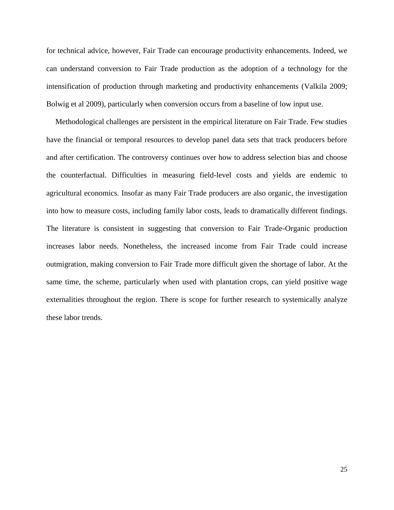for technical advice, however, Fair Trade can encourage productivity enhancements. Indeed, we can understand conversion to Fair Trade production as the adoption of a technology for the intensification of production through marketing and productivity enhancements (Valkila 2009; Bolwig et al 2009), particularly when conversion occurs from a baseline of low input use.

Methodological challenges are persistent in the empirical literature on Fair Trade. Few studies have the financial or temporal resources to develop panel data sets that track producers before and after certification. The controversy continues over how to address selection bias and choose the counterfactual. Difficulties in measuring field-level costs and yields are endemic to agricultural economics. Insofar as many Fair Trade producers are also organic, the investigation into how to measure costs, including family labor costs, leads to dramatically different findings. The literature is consistent in suggesting that conversion to Fair Trade-Organic production increases labor needs. Nonetheless, the increased income from Fair Trade could increase outmigration, making conversion to Fair Trade more difficult given the shortage of labor. At the same time, the scheme, particularly when used with plantation crops, can yield positive wage externalities throughout the region. There is scope for further research to systemically analyze these labor trends.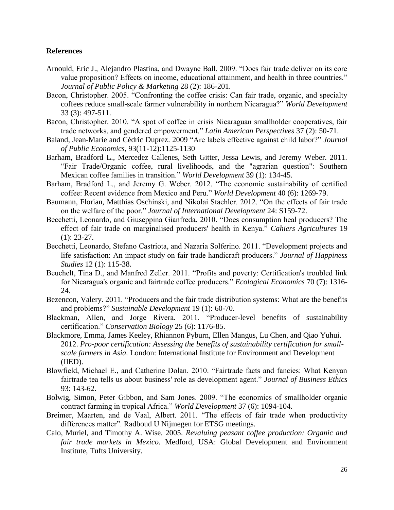#### **References**

- Arnould, Eric J., Alejandro Plastina, and Dwayne Ball. 2009. "Does fair trade deliver on its core value proposition? Effects on income, educational attainment, and health in three countries." *Journal of Public Policy & Marketing* 28 (2): 186-201.
- Bacon, Christopher. 2005. "Confronting the coffee crisis: Can fair trade, organic, and specialty coffees reduce small-scale farmer vulnerability in northern Nicaragua?" *World Development* 33 (3): 497-511.
- Bacon, Christopher. 2010. "A spot of coffee in crisis Nicaraguan smallholder cooperatives, fair trade networks, and gendered empowerment." *Latin American Perspectives* 37 (2): 50-71.
- Baland, Jean-Marie and Cédric Duprez. 2009 "Are labels effective against child labor?" *Journal of Public Economics*, 93(11-12):1125-1130
- Barham, Bradford L., Mercedez Callenes, Seth Gitter, Jessa Lewis, and Jeremy Weber. 2011. "Fair Trade/Organic coffee, rural livelihoods, and the "agrarian question": Southern Mexican coffee families in transition." *World Development* 39 (1): 134-45.
- Barham, Bradford L., and Jeremy G. Weber. 2012. "The economic sustainability of certified coffee: Recent evidence from Mexico and Peru." *World Development* 40 (6): 1269-79.
- Baumann, Florian, Matthias Oschinski, and Nikolai Staehler. 2012. "On the effects of fair trade on the welfare of the poor." *Journal of International Development* 24: S159-72.
- Becchetti, Leonardo, and Giuseppina Gianfreda. 2010. "Does consumption heal producers? The effect of fair trade on marginalised producers' health in Kenya." *Cahiers Agricultures* 19 (1): 23-27.
- Becchetti, Leonardo, Stefano Castriota, and Nazaria Solferino. 2011. "Development projects and life satisfaction: An impact study on fair trade handicraft producers." *Journal of Happiness Studies* 12 (1): 115-38.
- Beuchelt, Tina D., and Manfred Zeller. 2011. "Profits and poverty: Certification's troubled link for Nicaragua's organic and fairtrade coffee producers." *Ecological Economics* 70 (7): 1316- 24.
- Bezencon, Valery. 2011. "Producers and the fair trade distribution systems: What are the benefits and problems?" *Sustainable Development* 19 (1): 60-70.
- Blackman, Allen, and Jorge Rivera. 2011. "Producer-level benefits of sustainability certification." *Conservation Biology* 25 (6): 1176-85.
- Blackmore, Emma, James Keeley, Rhiannon Pyburn, Ellen Mangus, Lu Chen, and Qiao Yuhui. 2012. *Pro-poor certification: Assessing the benefits of sustainability certification for smallscale farmers in Asia.* London: International Institute for Environment and Development (IIED).
- Blowfield, Michael E., and Catherine Dolan. 2010. "Fairtrade facts and fancies: What Kenyan fairtrade tea tells us about business' role as development agent." *Journal of Business Ethics* 93: 143-62.
- Bolwig, Simon, Peter Gibbon, and Sam Jones. 2009. "The economics of smallholder organic contract farming in tropical Africa." *World Development* 37 (6): 1094-104.
- Breimer, Maarten, and de Vaal, Albert. 2011. "The effects of fair trade when productivity differences matter". Radboud U Nijmegen for ETSG meetings.
- Calo, Muriel, and Timothy A. Wise. 2005. *Revaluing peasant coffee production: Organic and fair trade markets in Mexico.* Medford, USA: Global Development and Environment Institute, Tufts University.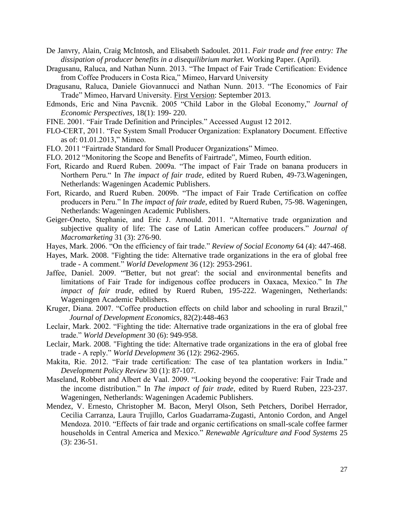- De Janvry, Alain, Craig McIntosh, and Elisabeth Sadoulet. 2011. *Fair trade and free entry: The dissipation of producer benefits in a disequilibrium market.* Working Paper. (April).
- Dragusanu, Raluca, and Nathan Nunn. 2013. "The Impact of Fair Trade Certification: Evidence from Coffee Producers in Costa Rica," Mimeo, Harvard University
- Dragusanu, Raluca, Daniele Giovannucci and Nathan Nunn. 2013. "The Economics of Fair Trade" Mimeo, Harvard University. First Version: September 2013.
- Edmonds, Eric and Nina Pavcnik. 2005 "Child Labor in the Global Economy," *Journal of Economic Perspectives*, 18(1): 199- 220.
- FINE. 2001. "Fair Trade Definition and Principles." Accessed August 12 2012.
- FLO-CERT, 2011. "Fee System Small Producer Organization: Explanatory Document. Effective as of: 01.01.2013," Mimeo.
- FLO. 2011 "Fairtrade Standard for Small Producer Organizations" Mimeo.
- FLO. 2012 "Monitoring the Scope and Benefits of Fairtrade", Mimeo, Fourth edition.
- Fort, Ricardo and Ruerd Ruben. 2009a. "The impact of Fair Trade on banana producers in Northern Peru." In *The impact of fair trade*, edited by Ruerd Ruben, 49-73*.*Wageningen, Netherlands: Wageningen Academic Publishers.
- Fort, Ricardo, and Ruerd Ruben. 2009b. "The impact of Fair Trade Certification on coffee producers in Peru." In *The impact of fair trade*, edited by Ruerd Ruben*,* 75-98. Wageningen, Netherlands: Wageningen Academic Publishers.
- Geiger-Oneto, Stephanie, and Eric J. Arnould. 2011. "Alternative trade organization and subjective quality of life: The case of Latin American coffee producers." *Journal of Macromarketing* 31 (3): 276-90.
- Hayes, Mark. 2006. "On the efficiency of fair trade." *Review of Social Economy* 64 (4): 447-468.
- Hayes, Mark. 2008. "Fighting the tide: Alternative trade organizations in the era of global free trade - A comment." *World Development* 36 (12): 2953-2961.
- Jaffee, Daniel. 2009. "'Better, but not great': the social and environmental benefits and limitations of Fair Trade for indigenous coffee producers in Oaxaca, Mexico." In *The impact of fair trade*, edited by Ruerd Ruben, 195-222. Wageningen, Netherlands: Wageningen Academic Publishers.
- Kruger, Diana. 2007. "Coffee production effects on child labor and schooling in rural Brazil," *Journal of Development Economics,* 82(2):448-463
- Leclair, Mark. 2002. "Fighting the tide: Alternative trade organizations in the era of global free trade." *World Development* 30 (6): 949-958.
- Leclair, Mark. 2008. "Fighting the tide: Alternative trade organizations in the era of global free trade - A reply." *World Development* 36 (12): 2962-2965.
- Makita, Rie. 2012. "Fair trade certification: The case of tea plantation workers in India." *Development Policy Review* 30 (1): 87-107.
- Maseland, Robbert and Albert de Vaal. 2009. "Looking beyond the cooperative: Fair Trade and the income distribution." In *The impact of fair trade*, edited by Ruerd Ruben, 223-237. Wageningen, Netherlands: Wageningen Academic Publishers.
- Mendez, V. Ernesto, Christopher M. Bacon, Meryl Olson, Seth Petchers, Doribel Herrador, Cecilia Carranza, Laura Trujillo, Carlos Guadarrama-Zugasti, Antonio Cordon, and Angel Mendoza. 2010. "Effects of fair trade and organic certifications on small-scale coffee farmer households in Central America and Mexico." *Renewable Agriculture and Food Systems* 25 (3): 236-51.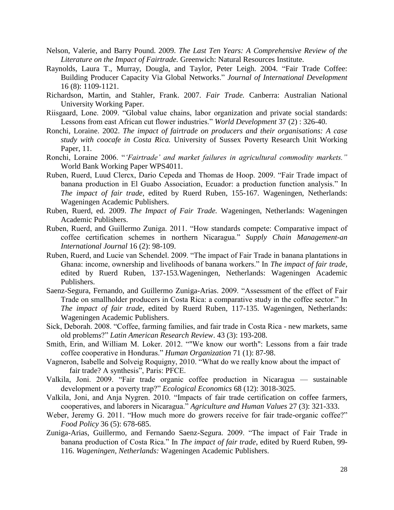- Nelson, Valerie, and Barry Pound. 2009. *The Last Ten Years: A Comprehensive Review of the Literature on the Impact of Fairtrade.* Greenwich: Natural Resources Institute.
- Raynolds, Laura T., Murray, Dougla, and Taylor, Peter Leigh. 2004. "Fair Trade Coffee: Building Producer Capacity Via Global Networks." *Journal of International Development* 16 (8): 1109-1121.
- Richardson, Martin, and Stahler, Frank. 2007. *Fair Trade.* Canberra: Australian National University Working Paper.
- Riisgaard, Lone. 2009. "Global value chains, labor organization and private social standards: Lessons from east African cut flower industries." *World Development* 37 (2) : 326-40.
- Ronchi, Loraine. 2002. *The impact of fairtrade on producers and their organisations: A case study with coocafe in Costa Rica.* University of Sussex Poverty Research Unit Working Paper, 11.
- Ronchi, Loraine 2006. "*'Fairtrade' and market failures in agricultural commodity markets."*  World Bank Working Paper WPS4011.
- Ruben, Ruerd, Luud Clercx, Dario Cepeda and Thomas de Hoop. 2009. "Fair Trade impact of banana production in El Guabo Association, Ecuador: a production function analysis." In *The impact of fair trade*, edited by Ruerd Ruben*,* 155-167. Wageningen, Netherlands: Wageningen Academic Publishers.
- Ruben, Ruerd, ed. 2009. *The Impact of Fair Trade.* Wageningen, Netherlands: Wageningen Academic Publishers.
- Ruben, Ruerd, and Guillermo Zuniga. 2011. "How standards compete: Comparative impact of coffee certification schemes in northern Nicaragua." *Supply Chain Management-an International Journal* 16 (2): 98-109.
- Ruben, Ruerd, and Lucie van Schendel. 2009. "The impact of Fair Trade in banana plantations in Ghana: income, ownership and livelihoods of banana workers." In *The impact of fair trade*, edited by Ruerd Ruben, 137-153*.*Wageningen, Netherlands: Wageningen Academic Publishers.
- Saenz-Segura, Fernando, and Guillermo Zuniga-Arias. 2009. "Assessment of the effect of Fair Trade on smallholder producers in Costa Rica: a comparative study in the coffee sector." In *The impact of fair trade*, edited by Ruerd Ruben*,* 117-135. Wageningen, Netherlands: Wageningen Academic Publishers.
- Sick, Deborah. 2008. "Coffee, farming families, and fair trade in Costa Rica new markets, same old problems?" *Latin American Research Review*. 43 (3): 193-208.
- Smith, Erin, and William M. Loker. 2012. ""We know our worth": Lessons from a fair trade coffee cooperative in Honduras." *Human Organization* 71 (1): 87-98.
- Vagneron, Isabelle and Solveig Roquigny, 2010. "What do we really know about the impact of fair trade? A synthesis", Paris: PFCE.
- Valkila, Joni. 2009. "Fair trade organic coffee production in Nicaragua sustainable development or a poverty trap?" *Ecological Economics* 68 (12): 3018-3025.
- Valkila, Joni, and Anja Nygren. 2010. "Impacts of fair trade certification on coffee farmers, cooperatives, and laborers in Nicaragua." *Agriculture and Human Values* 27 (3): 321-333.
- Weber, Jeremy G. 2011. "How much more do growers receive for fair trade-organic coffee?" *Food Policy* 36 (5): 678-685.
- Zuniga-Arias, Guillermo, and Fernando Saenz-Segura. 2009. "The impact of Fair Trade in banana production of Costa Rica." In *The impact of fair trade*, edited by Ruerd Ruben*,* 99- 116. *Wageningen, Netherlands:* Wageningen Academic Publishers.